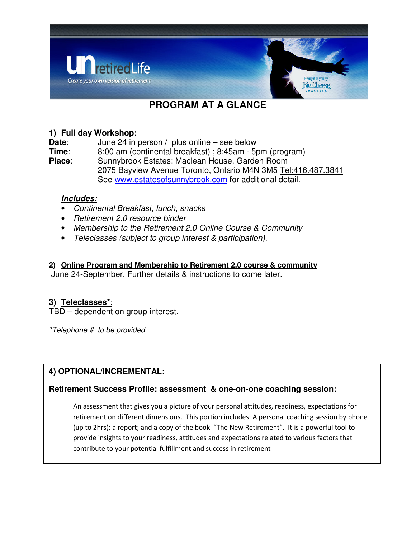

# **PROGRAM AT A GLANCE**

## **1) Full day Workshop:**

**Date:** June 24 in person / plus online – see below **Time**: 8:00 am (continental breakfast) ; 8:45am - 5pm (program) **Place**: Sunnybrook Estates: Maclean House, Garden Room 2075 Bayview Avenue Toronto, Ontario M4N 3M5 Tel:416.487.3841 See www.estatesofsunnybrook.com for additional detail.

## **Includes:**

- Continental Breakfast, lunch, snacks
- Retirement 2.0 resource binder
- Membership to the Retirement 2.0 Online Course & Community
- Teleclasses (subject to group interest & participation).

#### **2) Online Program and Membership to Retirement 2.0 course & community**

June 24-September. Further details & instructions to come later.

# **3) Teleclasses\***:

TBD – dependent on group interest.

\*Telephone # to be provided

# **4) OPTIONAL/INCREMENTAL:**

#### **Retirement Success Profile: assessment & one-on-one coaching session:**

An assessment that gives you a picture of your personal attitudes, readiness, expectations for retirement on different dimensions. This portion includes: A personal coaching session by phone (up to 2hrs); a report; and a copy of the book "The New Retirement". It is a powerful tool to provide insights to your readiness, attitudes and expectations related to various factors that contribute to your potential fulfillment and success in retirement